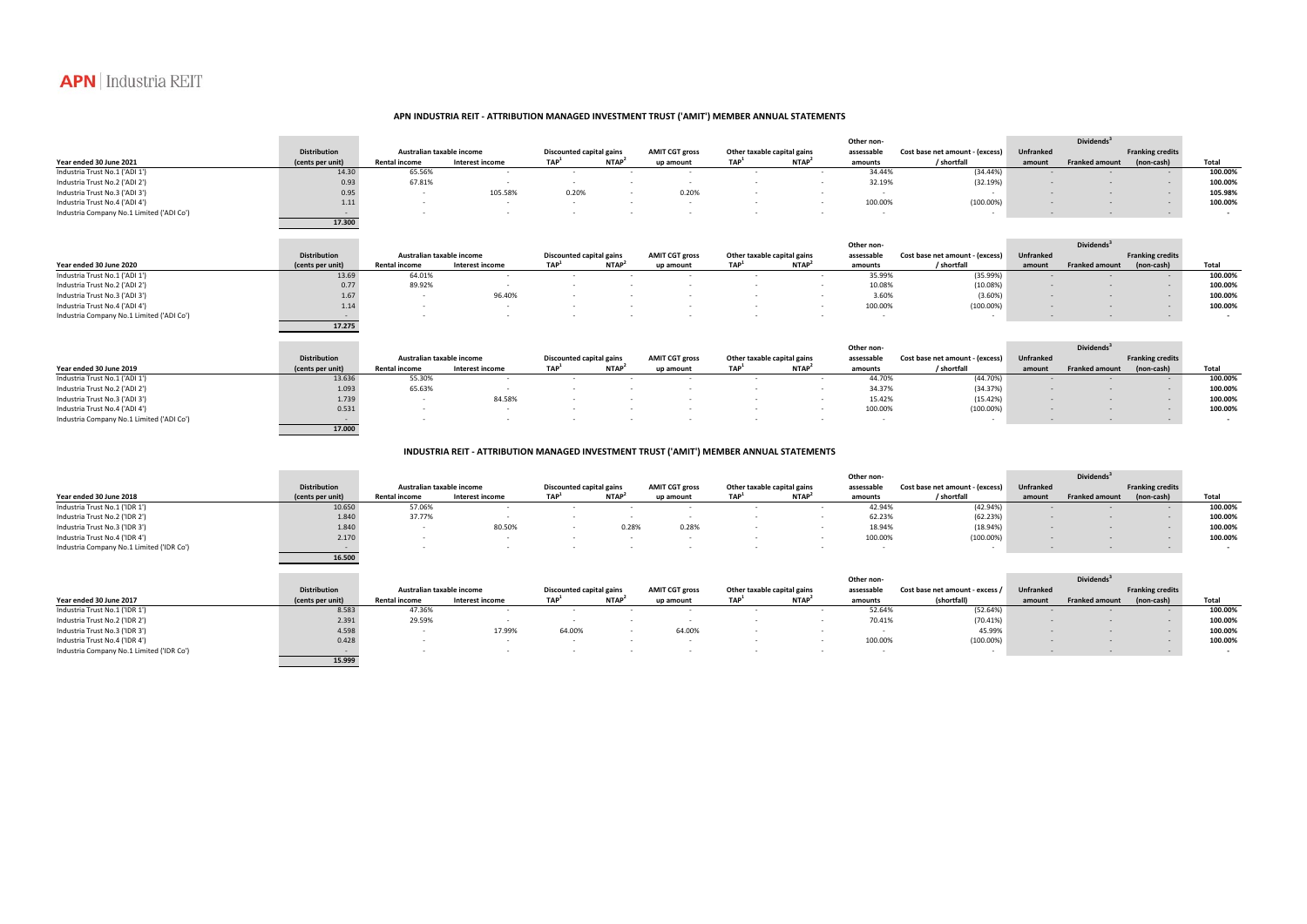|                                           |                     |                           |                          |                                 |                   |                          | Other non-                  |                   |                          |                                 |           | Dividends <sup>3</sup> |                         |                          |  |
|-------------------------------------------|---------------------|---------------------------|--------------------------|---------------------------------|-------------------|--------------------------|-----------------------------|-------------------|--------------------------|---------------------------------|-----------|------------------------|-------------------------|--------------------------|--|
|                                           | <b>Distribution</b> | Australian taxable income |                          | <b>Discounted capital gains</b> |                   | <b>AMIT CGT gross</b>    | Other taxable capital gains |                   | assessable               | Cost base net amount - (excess) | Unfranked |                        | <b>Franking credits</b> |                          |  |
| Year ended 30 June 2021                   | (cents per unit)    | <b>Rental income</b>      | Interest income          | TAP <sup>1</sup>                | NTAP <sup>2</sup> | up amount                | TAP <sup>1</sup>            | NTAP <sup>2</sup> | amounts                  | / shortfall                     | amount    | <b>Franked amount</b>  | (non-cash)              | Total                    |  |
| Industria Trust No.1 ('ADI 1')            | 14.30               | 65.56%                    | $\sim$                   | $\sim$                          | $\sim$            | $\sim$                   | $\sim$                      | $\sim$            | 34.44%                   | (34.44%)                        |           | $\sim$                 | $\sim$ $-$              | 100.00%                  |  |
| Industria Trust No.2 ('ADI 2')            | 0.93                | 67.81%                    | $\overline{\phantom{a}}$ | $\sim$                          |                   | $\sim$                   | $\sim$                      | $\sim$            | 32.19%                   | (32.19%)                        |           | $\sim$                 | $\sim$                  | 100.00%                  |  |
| Industria Trust No.3 ('ADI 3')            | 0.95                | $\sim$                    | 105.58%                  | 0.20%                           | $\sim$            | 0.20%                    | $\overline{\phantom{a}}$    |                   | $\sim$                   | $\sim$ $-$                      |           |                        | $\sim$ $-$              | 105.98%                  |  |
| Industria Trust No.4 ('ADI 4')            | 1.11                | $\sim$                    | $\sim$                   | $\sim$                          |                   | $\sim$                   | $\overline{\phantom{a}}$    |                   | 100.00%                  | $(100.00\%)$                    |           |                        | $\sim$                  | 100.00%                  |  |
| Industria Company No.1 Limited ('ADI Co') | $\sim$ $-$          | $\overline{\phantom{a}}$  | $\overline{\phantom{a}}$ |                                 |                   |                          |                             |                   | $\overline{\phantom{a}}$ | $\sim$                          |           | $\sim$                 | $\sim$                  | $\sim$                   |  |
|                                           | 17.300              |                           |                          |                                 |                   |                          |                             |                   |                          |                                 |           |                        |                         |                          |  |
|                                           |                     |                           |                          |                                 |                   |                          |                             |                   | Other non-               |                                 |           | Dividends <sup>3</sup> |                         |                          |  |
|                                           | <b>Distribution</b> | Australian taxable income |                          | <b>Discounted capital gains</b> |                   | <b>AMIT CGT gross</b>    | Other taxable capital gains |                   | assessable               | Cost base net amount - (excess) | Unfranked |                        | <b>Franking credits</b> |                          |  |
| Year ended 30 June 2020                   | (cents per unit)    | <b>Rental income</b>      | Interest income          | TAP <sup>1</sup>                | NTAP <sup>2</sup> | up amount                | TAP <sup>1</sup>            | NTAP <sup>2</sup> | amounts                  | / shortfall                     | amount    | <b>Franked amount</b>  | (non-cash)              | Total                    |  |
| Industria Trust No.1 ('ADI 1')            | 13.69               | 64.01%                    | $\sim$                   | $\sim$                          | $\sim$            | $\overline{\phantom{a}}$ | $\sim$                      | $\sim$            | 35.99%                   | (35.99%)                        |           | $\sim$                 | $\sim$                  | 100.00%                  |  |
| Industria Trust No.2 ('ADI 2')            | 0.77                | 89.92%                    | $\overline{\phantom{a}}$ |                                 |                   |                          |                             |                   | 10.08%                   | (10.08%)                        |           |                        | $\sim$                  | 100.00%                  |  |
| Industria Trust No.3 ('ADI 3')            | 1.67                | $\sim$                    | 96.40%                   |                                 |                   |                          |                             | $\sim$            | 3.60%                    | $(3.60\%)$                      |           |                        | $\sim$ $-$              | 100.00%                  |  |
| Industria Trust No.4 ('ADI 4')            | 1.14                | $\sim$                    | $\sim$                   |                                 |                   |                          |                             | $\sim$            | 100.00%                  | $(100.00\%)$                    |           |                        | $\sim$                  | 100.00%                  |  |
| Industria Company No.1 Limited ('ADI Co') | $\sim$              | $\sim$                    |                          |                                 |                   |                          |                             |                   | $\overline{\phantom{a}}$ |                                 |           | $\sim$                 | $\sim$                  | $\overline{\phantom{a}}$ |  |
|                                           | 17.275              |                           |                          |                                 |                   |                          |                             |                   |                          |                                 |           |                        |                         |                          |  |
|                                           |                     |                           |                          |                                 |                   |                          |                             |                   | Other non-               |                                 |           | Dividends <sup>3</sup> |                         |                          |  |
|                                           | <b>Distribution</b> | Australian taxable income |                          | Discounted capital gains        |                   | <b>AMIT CGT gross</b>    | Other taxable capital gains |                   | assessable               | Cost base net amount - (excess) | Unfranked |                        | <b>Franking credits</b> |                          |  |
| Year ended 30 June 2019                   | (cents per unit)    | <b>Rental income</b>      | Interest income          | TAP <sup>1</sup>                | NTAP <sup>2</sup> | up amount                | TAP <sup>1</sup>            | NTAP <sup>2</sup> | amounts                  | / shortfall                     | amount    | <b>Franked amount</b>  | (non-cash)              | Total                    |  |
| Industria Trust No.1 ('ADI 1')            | 13.636              | 55.30%                    | $\sim$                   | $\overline{\phantom{a}}$        | $\sim$            | $\sim$                   | $\overline{\phantom{a}}$    | $\sim$ $-$        | 44.70%                   | (44.70%)                        |           | $\sim$                 | $\sim$ $-$              | 100.00%                  |  |
| Industria Trust No.2 ('ADI 2')            | 1.093               | 65.63%                    | $\overline{\phantom{a}}$ |                                 |                   |                          |                             | $\sim$            | 34.37%                   | (34.37%)                        |           |                        | $\sim$                  | 100.00%                  |  |
| Industria Trust No.3 ('ADI 3')            | 1.739               | $\sim$ $-$                | 84.58%                   |                                 |                   |                          |                             | $\sim$            | 15.42%                   | (15.42%)                        |           | $\sim$                 | $\sim$                  | 100.00%                  |  |
| Industria Trust No.4 ('ADI 4')            | 0.531               | $\sim$                    | $\sim$                   |                                 |                   |                          |                             | $\sim$            | 100.00%                  | $(100.00\%)$                    |           |                        | $\sim$                  | 100.00%                  |  |
| Industria Company No.1 Limited ('ADI Co') | $\sim$              | $\sim$                    | $\overline{\phantom{a}}$ |                                 |                   |                          |                             | $\sim$            | $\sim$                   | $\sim$                          |           | $\sim$                 | $\sim$ $-$              | $\sim$                   |  |
|                                           | 17.000              |                           |                          |                                 |                   |                          |                             |                   |                          |                                 |           |                        |                         |                          |  |
|                                           |                     |                           |                          |                                 |                   |                          |                             |                   |                          |                                 |           |                        |                         |                          |  |

|                                           |                     |                      |                           |                  |                          |           |                                                      |             | Other non- |                                 | <b>Dividends</b> |                       |                         |         |
|-------------------------------------------|---------------------|----------------------|---------------------------|------------------|--------------------------|-----------|------------------------------------------------------|-------------|------------|---------------------------------|------------------|-----------------------|-------------------------|---------|
|                                           | <b>Distribution</b> |                      | Australian taxable income |                  | Discounted capital gains |           | <b>AMIT CGT gross</b><br>Other taxable capital gains |             | assessable | Cost base net amount - (excess) | <b>Unfranked</b> |                       | <b>Franking credits</b> |         |
| Year ended 30 June 2018                   | (cents per unit)    | <b>Rental income</b> | Interest income           | TAP <sup>1</sup> | <b>NTAP</b>              | up amount | TAP <sup>1</sup>                                     | <b>NTAP</b> | amounts    | / shortfall                     | amoun            | <b>Franked amount</b> | (non-cash)              | Total   |
| Industria Trust No.1 ('IDR 1')            | 10.650              | 57.06%               |                           |                  |                          |           |                                                      |             | 42.94%     | (42.94%)                        |                  |                       |                         | 100.00% |
| Industria Trust No.2 ('IDR 2')            | 1.840               | 37.77%               |                           |                  |                          |           |                                                      |             | 62.23%     | (62.23%)                        |                  |                       |                         | 100.00% |
| Industria Trust No.3 ('IDR 3')            | 1.840               |                      | 80.50%                    |                  | 0.28%                    | 0.28%     |                                                      |             | 18.94%     | (18.94%)                        |                  |                       |                         | 100.00% |
| Industria Trust No.4 ('IDR 4')            | 2.170               |                      |                           |                  |                          |           |                                                      |             | 100.00%    | $(100.00\%)$                    |                  |                       |                         | 100.00% |
| Industria Company No.1 Limited ('IDR Co') |                     |                      |                           |                  |                          |           |                                                      |             |            |                                 |                  |                       |                         |         |
|                                           | 16.500              |                      |                           |                  |                          |           |                                                      |             |            |                                 |                  |                       |                         |         |

|                                           |                     |                      |                           |                  |                          |           |                                                      |             | Other non- |                                 |                  | <b>Dividends</b> <sup>3</sup> |                         |         |
|-------------------------------------------|---------------------|----------------------|---------------------------|------------------|--------------------------|-----------|------------------------------------------------------|-------------|------------|---------------------------------|------------------|-------------------------------|-------------------------|---------|
|                                           | <b>Distribution</b> |                      | Australian taxable income |                  | Discounted capital gains |           | <b>AMIT CGT gross</b><br>Other taxable capital gains |             | assessable | Cost base net amount - excess / | <b>Unfranked</b> |                               | <b>Franking credits</b> |         |
| Year ended 30 June 2017                   | (cents per unit)    | <b>Rental income</b> | Interest income           | TAP <sup>'</sup> | NTAP <sup>®</sup>        | up amount | <b>TAD</b>                                           | <b>NTAP</b> | amounts    | (shortfall)                     | amount           | <b>Franked amount</b>         | (non-cash)              | Total   |
| Industria Trust No.1 ('IDR 1')            | 8.583               | 47.36%               |                           |                  |                          |           |                                                      |             | 52.64%     | (52.64%)                        |                  |                               |                         | 100.00% |
| Industria Trust No.2 ('IDR 2')            | 2.391               | 29.59%               |                           |                  |                          |           |                                                      |             | 70.41%     | (70.41%)                        |                  |                               |                         | 100.00% |
| Industria Trust No.3 ('IDR 3')            | 4.598               |                      | 17.99%                    | 64.00%           |                          | 64.00%    |                                                      |             |            | 45.99%                          |                  |                               |                         | 100.00% |
| Industria Trust No.4 ('IDR 4')            | 0.428               |                      |                           |                  |                          |           |                                                      |             | 100.00%    | $(100.00\%)$                    |                  |                               |                         | 100.00% |
| Industria Company No.1 Limited ('IDR Co') |                     |                      |                           |                  |                          |           |                                                      |             |            |                                 |                  |                               |                         |         |
|                                           | 15.999              |                      |                           |                  |                          |           |                                                      |             |            |                                 |                  |                               |                         |         |

# **INDUSTRIA REIT ‐ ATTRIBUTION MANAGED INVESTMENT TRUST ('AMIT') MEMBER ANNUAL STATEMENTS**



## **APN INDUSTRIA REIT ‐ ATTRIBUTION MANAGED INVESTMENT TRUST ('AMIT') MEMBER ANNUAL STATEMENTS**